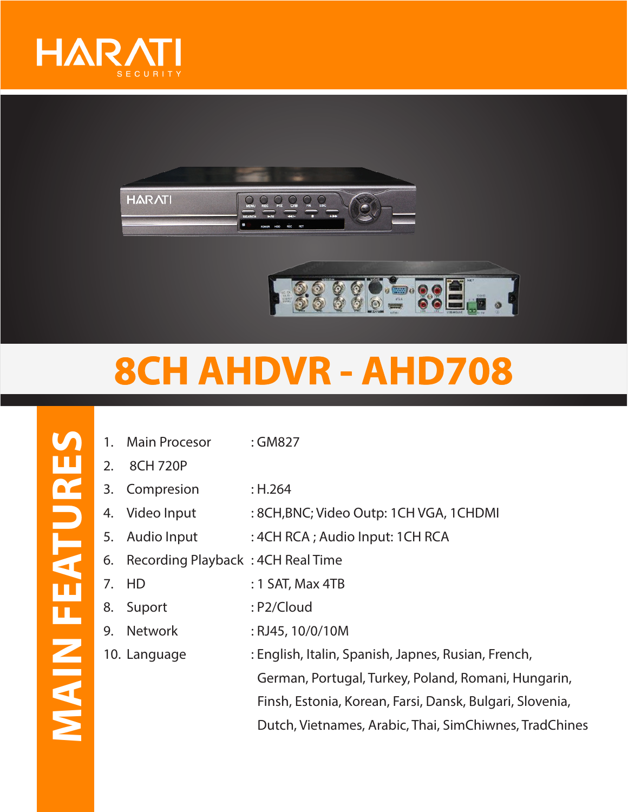



## **8CH AHDVR - AHD708**

- 1. Main Procesor : GM827
- 2. 8CH 720P
- 3. Compresion : H.264
- 4. Video Input : 8CH, BNC; Video Outp: 1CH VGA, 1CHDMI
- 5. Audio Input :4CH RCA ; Audio Input: 1CH RCA
- 6. Recording Playback : 4CH Real Time
- 7. HD : 1 SAT, Max 4TB
- 8. Suport : P2/Cloud
- 9. Network : RJ45, 10/0/10M
- 10. Language : English, Italin, Spanish, Japnes, Rusian, French, German, Portugal, Turkey, Poland, Romani, Hungarin, Finsh, Estonia, Korean, Farsi, Dansk, Bulgari, Slovenia, Dutch, Vietnames, Arabic, Thai, SimChiwnes, TradChines